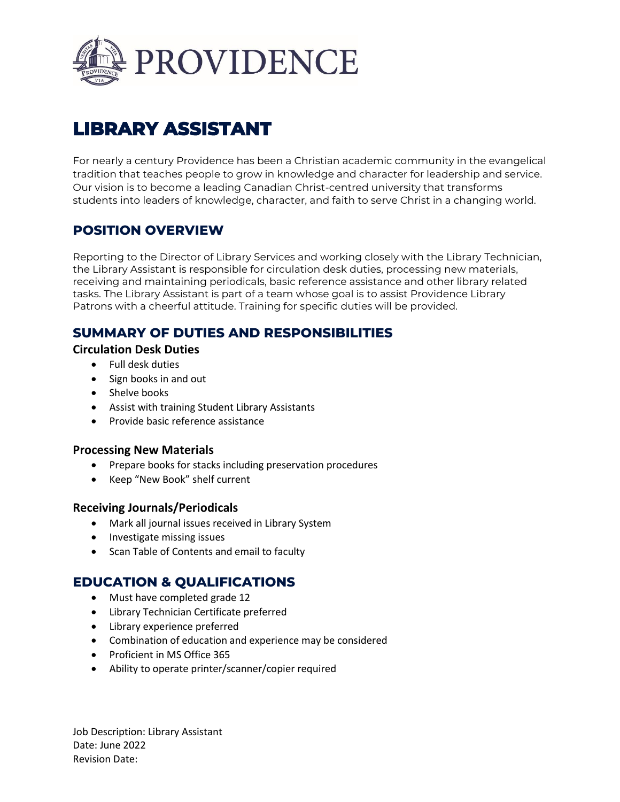

# **LIBRARY ASSISTANT**

For nearly a century Providence has been a Christian academic community in the evangelical tradition that teaches people to grow in knowledge and character for leadership and service. Our vision is to become a leading Canadian Christ-centred university that transforms students into leaders of knowledge, character, and faith to serve Christ in a changing world.

# **POSITION OVERVIEW**

Reporting to the Director of Library Services and working closely with the Library Technician, the Library Assistant is responsible for circulation desk duties, processing new materials, receiving and maintaining periodicals, basic reference assistance and other library related tasks. The Library Assistant is part of a team whose goal is to assist Providence Library Patrons with a cheerful attitude. Training for specific duties will be provided.

## **SUMMARY OF DUTIES AND RESPONSIBILITIES**

**Circulation Desk Duties**

- Full desk duties
- Sign books in and out
- Shelve books
- Assist with training Student Library Assistants
- Provide basic reference assistance

#### **Processing New Materials**

- Prepare books for stacks including preservation procedures
- Keep "New Book" shelf current

#### **Receiving Journals/Periodicals**

- Mark all journal issues received in Library System
- Investigate missing issues
- Scan Table of Contents and email to faculty

## **EDUCATION & QUALIFICATIONS**

- Must have completed grade 12
- Library Technician Certificate preferred
- Library experience preferred
- Combination of education and experience may be considered
- Proficient in MS Office 365
- Ability to operate printer/scanner/copier required

Job Description: Library Assistant Date: June 2022 Revision Date: